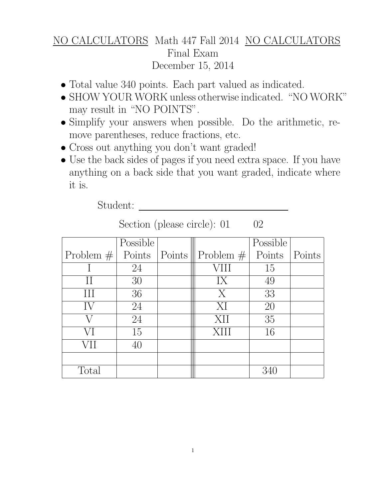## NO CALCULATORS Math 447 Fall 2014 NO CALCULATORS Final Exam December 15, 2014

- Total value 340 points. Each part valued as indicated.
- SHOW YOUR WORK unless otherwise indicated. "NO WORK" may result in "NO POINTS".
- Simplify your answers when possible. Do the arithmetic, remove parentheses, reduce fractions, etc.
- Cross out anything you don't want graded!
- Use the back sides of pages if you need extra space. If you have anything on a back side that you want graded, indicate where it is.

Student:

|  | Section (please circle): 01 |  |  | 02 |
|--|-----------------------------|--|--|----|
|--|-----------------------------|--|--|----|

|       | Possible |                                                       | Possible |        |  |
|-------|----------|-------------------------------------------------------|----------|--------|--|
|       |          | Problem $\#$ Points   Points    Problem $\#$   Points |          | Points |  |
|       | 24       | VIII                                                  | 15       |        |  |
|       | 30       | IX                                                    | 49       |        |  |
| III   | 36       | $\overline{X}$                                        | 33       |        |  |
| IV    | 24       | XI                                                    | 20       |        |  |
|       | 24       | XII                                                   | 35       |        |  |
| VI    | 15       | <b>XIII</b>                                           | 16       |        |  |
| VH    |          |                                                       |          |        |  |
|       |          |                                                       |          |        |  |
| Total |          |                                                       |          |        |  |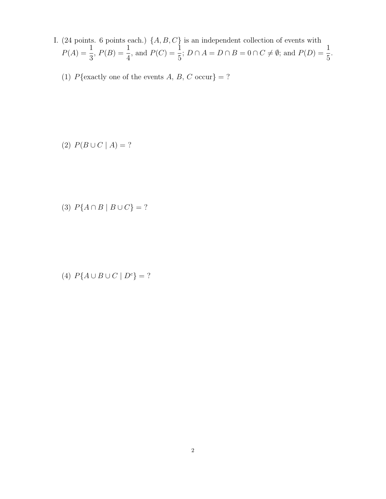- I. (24 points. 6 points each.)  $\{A, B, C\}$  is an independent collection of events with  $P(A) = \frac{1}{2}$ 3 ,  $P(B) = \frac{1}{4}$ 4 , and  $P(C) = \frac{1}{5}$ 5 ;  $D \cap A = D \cap B = 0 \cap C \neq \emptyset$ ; and  $P(D) = \frac{1}{r}$ 5 .
	- (1)  $P$ {exactly one of the events A, B, C occur} = ?

(2)  $P(B \cup C \mid A) = ?$ 

(3)  $P{A \cap B | B \cup C} = ?$ 

(4)  $P{A \cup B \cup C \mid D^c} = ?$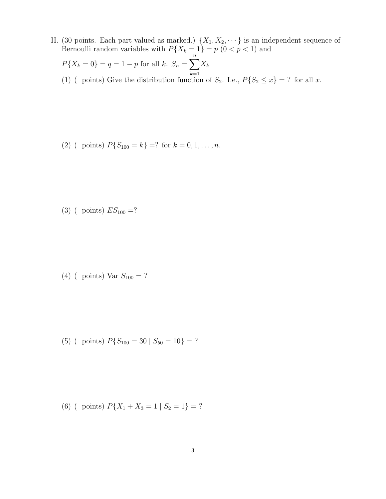II. (30 points. Each part valued as marked.)  $\{X_1, X_2, \dots\}$  is an independent sequence of Bernoulli random variables with  $P\{X_k = 1\} = p \ (0 < p < 1)$  and

$$
P\{X_k = 0\} = q = 1 - p \text{ for all } k. \ S_n = \sum_{k=1}^n X_k
$$

(1) ( points) Give the distribution function of  $S_2$ . I.e.,  $P\{S_2 \le x\} = ?$  for all x.

(2) ( points)  $P\{S_{100} = k\} = ?$  for  $k = 0, 1, ..., n$ .

(3) ( points)  $ES_{100}$  =?

(4) ( points) Var  $S_{100} = ?$ 

(5) ( points)  $P\{S_{100} = 30 \mid S_{50} = 10\} = ?$ 

(6) ( points)  $P\{X_1 + X_3 = 1 | S_2 = 1\} = ?$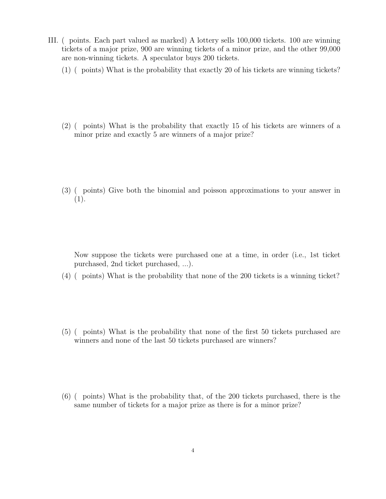- III. ( points. Each part valued as marked) A lottery sells 100,000 tickets. 100 are winning tickets of a major prize, 900 are winning tickets of a minor prize, and the other 99,000 are non-winning tickets. A speculator buys 200 tickets.
	- (1) ( points) What is the probability that exactly 20 of his tickets are winning tickets?
	- (2) ( points) What is the probability that exactly 15 of his tickets are winners of a minor prize and exactly 5 are winners of a major prize?
	- (3) ( points) Give both the binomial and poisson approximations to your answer in  $(1).$

Now suppose the tickets were purchased one at a time, in order (i.e., 1st ticket purchased, 2nd ticket purchased, ...).

- (4) ( points) What is the probability that none of the 200 tickets is a winning ticket?
- (5) ( points) What is the probability that none of the first 50 tickets purchased are winners and none of the last 50 tickets purchased are winners?
- (6) ( points) What is the probability that, of the 200 tickets purchased, there is the same number of tickets for a major prize as there is for a minor prize?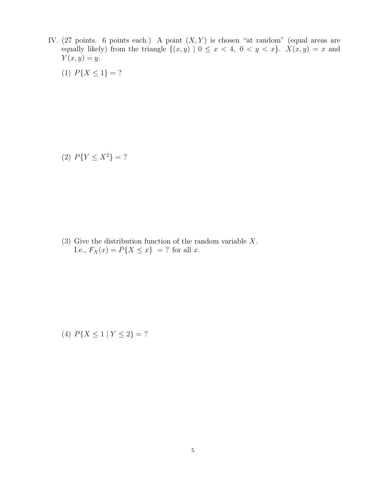IV. (27 points. 6 points each.) A point  $(X, Y)$  is chosen "at random" (equal areas are equally likely) from the triangle  $\{(x, y) | 0 \le x < 4, 0 < y < x\}$ .  $X(x, y) = x$  and  $Y(x, y) = y.$ 

(1)  $P\{X \leq 1\} = ?$ 

(2)  $P{Y \le X^2} = ?$ 

(3) Give the distribution function of the random variable X. I.e.,  $F_X(x) = P\{X \le x\} = ?$  for all x.

(4)  $P\{X \leq 1 \mid Y \leq 2\} = ?$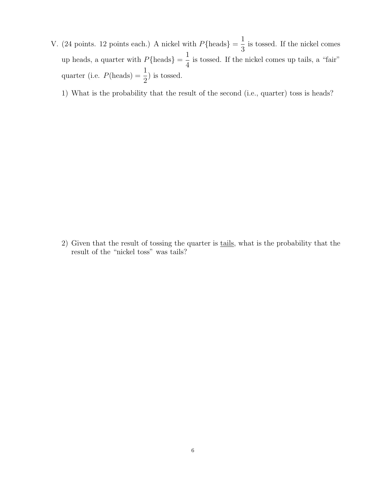V. (24 points. 12 points each.) A nickel with  $P\{\text{heads}\} = \frac{1}{2}$ 3 is tossed. If the nickel comes up heads, a quarter with  $P\{\text{heads}\} = \frac{1}{4}$ 4 is tossed. If the nickel comes up tails, a "fair" quarter (i.e.  $P(\text{heads}) = \frac{1}{2}$ 2 ) is tossed.

1) What is the probability that the result of the second (i.e., quarter) toss is heads?

2) Given that the result of tossing the quarter is tails, what is the probability that the result of the "nickel toss" was tails?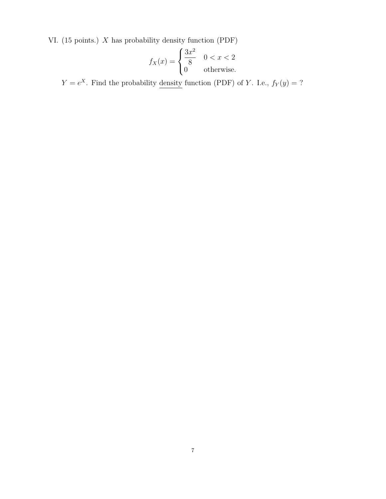VI. (15 points.) X has probability density function (PDF)

$$
f_X(x) = \begin{cases} \frac{3x^2}{8} & 0 < x < 2 \\ 0 & \text{otherwise.} \end{cases}
$$

 $Y = e^X$ . Find the probability density function (PDF) of Y. I.e.,  $f_Y(y) = ?$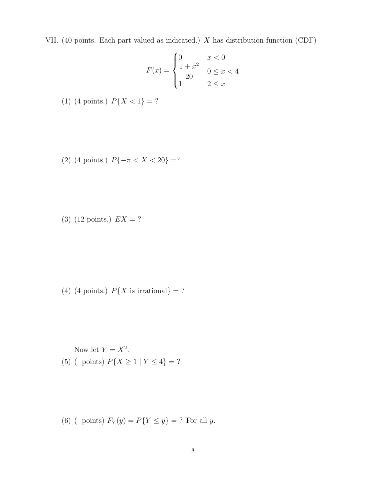VII. (40 points. Each part valued as indicated.) X has distribution function (CDF)

$$
F(x) = \begin{cases} 0 & x < 0 \\ \frac{1+x^2}{20} & 0 \le x < 4 \\ 1 & 2 \le x \end{cases}
$$

- (1) (4 points.)  $P\{X < 1\} = ?$
- (2) (4 points.)  $P\{-\pi < X < 20\} = ?$
- (3) (12 points.)  $EX = ?$

- (4) (4 points.)  $P\{X \text{ is irrational}\} = ?$
- Now let  $Y = X^2$ . (5) ( points)  $P\{X \ge 1 \mid Y \le 4\} = ?$

(6) ( points)  $F_Y(y) = P\{Y \le y\} = ?$  For all y.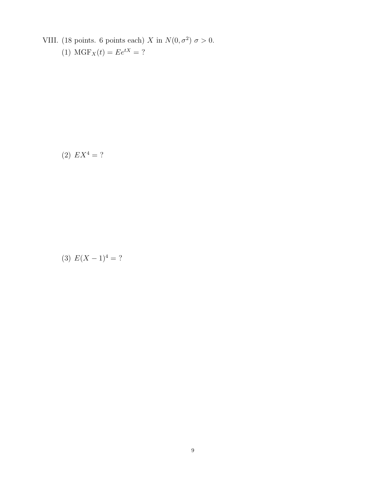- VIII. (18 points. 6 points each) X in  $N(0, \sigma^2) \sigma > 0$ .
	- (1)  $MGF_X(t) = Ee^{tX} = ?$

(2)  $EX^4 = ?$ 

(3)  $E(X-1)^4 = ?$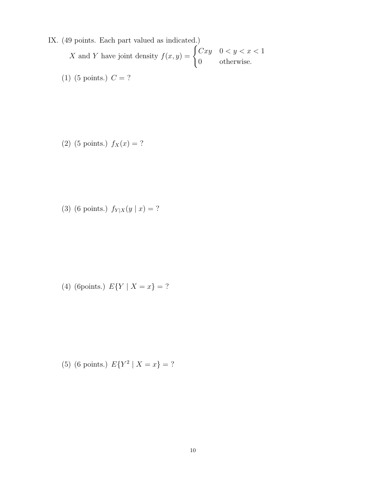- IX. (49 points. Each part valued as indicated.) X and Y have joint density  $f(x, y) = \begin{cases} Cxy & 0 < y < x < 1 \end{cases}$ 0 otherwise.
	- (1) (5 points.)  $C = ?$

(2) (5 points.)  $f_X(x) = ?$ 

(3) (6 points.)  $f_{Y|X}(y | x) = ?$ 

(4) (6points.)  $E\{Y \mid X = x\} = ?$ 

(5) (6 points.)  $E{Y^2 | X = x} = ?$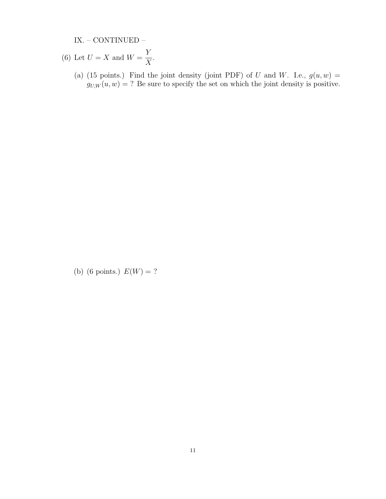IX. – CONTINUED –

- (6) Let  $U = X$  and  $W =$ Y  $\boldsymbol{X}$ .
	- (a) (15 points.) Find the joint density (joint PDF) of U and W. I.e.,  $g(u, w) =$  $g_{U,W}(u, w) = ?$  Be sure to specify the set on which the joint density is positive.

(b) (6 points.)  $E(W) = ?$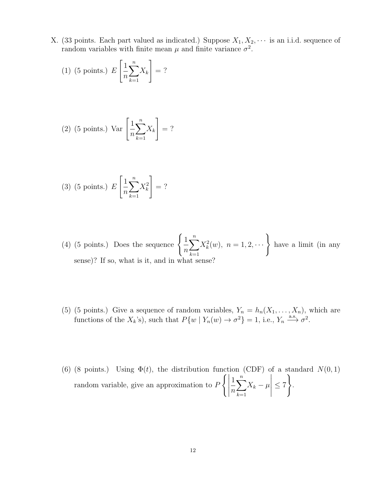X. (33 points. Each part valued as indicated.) Suppose  $X_1, X_2, \cdots$  is an i.i.d. sequence of random variables with finite mean  $\mu$  and finite variance  $\sigma^2$ .

(1) (5 points.) 
$$
E\left[\frac{1}{n}\sum_{k=1}^{n}X_k\right]=?
$$

(2) (5 points.) Var 
$$
\left[\frac{1}{n}\sum_{k=1}^{n}X_k\right]=
$$
 ?

(3) (5 points.) 
$$
E\left[\frac{1}{n}\sum_{k=1}^{n}X_{k}^{2}\right]=
$$
?

- (4) (5 points.) Does the sequence  $\begin{cases} 1 \end{cases}$  $\overline{n}$  $\sum_{n=1}^{\infty}$  $k=1$  $X_k^2(w)$ ,  $n = 1, 2, \cdots$  have a limit (in any sense)? If so, what is it, and in what sense?
- (5) (5 points.) Give a sequence of random variables,  $Y_n = h_n(X_1, \ldots, X_n)$ , which are functions of the  $X_k$ 's), such that  $P\{w \mid Y_n(w) \to \sigma^2\} = 1$ , i.e.,  $Y_n \stackrel{\text{a.s.}}{\longrightarrow} \sigma^2$ .
- (6) (8 points.) Using  $\Phi(t)$ , the distribution function (CDF) of a standard  $N(0, 1)$ random variable, give an approximation to P  $\left\{ \left\vert \rule{0cm}{1.15cm}\right. \right.$ 1 n  $\sum_{n=1}^{\infty}$  $k=1$  $X_k - \mu$   $\leq 7$ ) .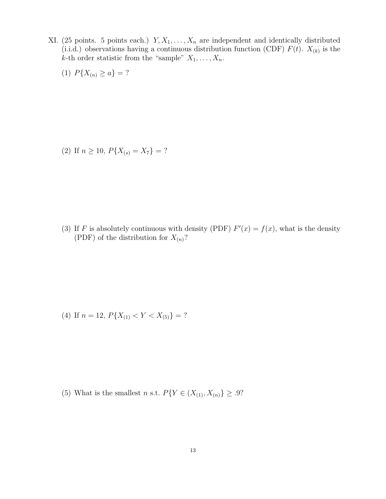- XI. (25 points. 5 points each.)  $Y, X_1, \ldots, X_n$  are independent and identically distributed (i.i.d.) observations having a continuous distribution function (CDF)  $F(t)$ .  $X_{(k)}$  is the k-th order statistic from the "sample"  $X_1, \ldots, X_n$ .
	- (1)  $P\{X_{(n)} \ge a\} = ?$

(2) If  $n \ge 10$ ,  $P\{X_{(s)} = X_7\} = ?$ 

(3) If F is absolutely continuous with density (PDF)  $F'(x) = f(x)$ , what is the density (PDF) of the distribution for  $X_{(n)}$ ?

(4) If 
$$
n = 12
$$
,  $P\{X_{(1)} < Y < X_{(5)}\} = ?$ 

(5) What is the smallest n s.t.  $P\{Y \in (X_{(1)}, X_{(n)}) \geq .9\}$